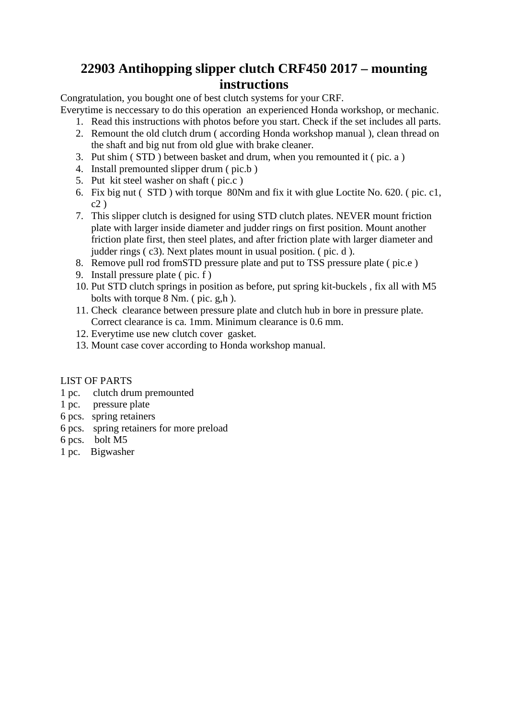#### **22903 Antihopping slipper clutch CRF450 2017 – mounting instructions**

Congratulation, you bought one of best clutch systems for your CRF.

Everytime is neccessary to do this operation an experienced Honda workshop, or mechanic.

- 1. Read this instructions with photos before you start. Check if the set includes all parts.
- 2. Remount the old clutch drum ( according Honda workshop manual ), clean thread on the shaft and big nut from old glue with brake cleaner.
- 3. Put shim ( STD ) between basket and drum, when you remounted it ( pic. a )
- 4. Install premounted slipper drum ( pic.b )
- 5. Put kit steel washer on shaft ( pic.c )
- 6. Fix big nut ( STD ) with torque 80Nm and fix it with glue Loctite No. 620. ( pic. c1,  $c2)$
- 7. This slipper clutch is designed for using STD clutch plates. NEVER mount friction plate with larger inside diameter and judder rings on first position. Mount another friction plate first, then steel plates, and after friction plate with larger diameter and judder rings ( c3). Next plates mount in usual position. ( pic. d ).
- 8. Remove pull rod fromSTD pressure plate and put to TSS pressure plate ( pic.e )
- 9. Install pressure plate ( pic. f )
- 10. Put STD clutch springs in position as before, put spring kit-buckels , fix all with M5 bolts with torque 8 Nm. ( pic. g,h ).
- 11. Check clearance between pressure plate and clutch hub in bore in pressure plate. Correct clearance is ca. 1mm. Minimum clearance is 0.6 mm.
- 12. Everytime use new clutch cover gasket.
- 13. Mount case cover according to Honda workshop manual.

#### LIST OF PARTS

- 1 pc. clutch drum premounted
- 1 pc. pressure plate
- 6 pcs. spring retainers
- 6 pcs. spring retainers for more preload
- 6 pcs. bolt M5
- 1 pc. Bigwasher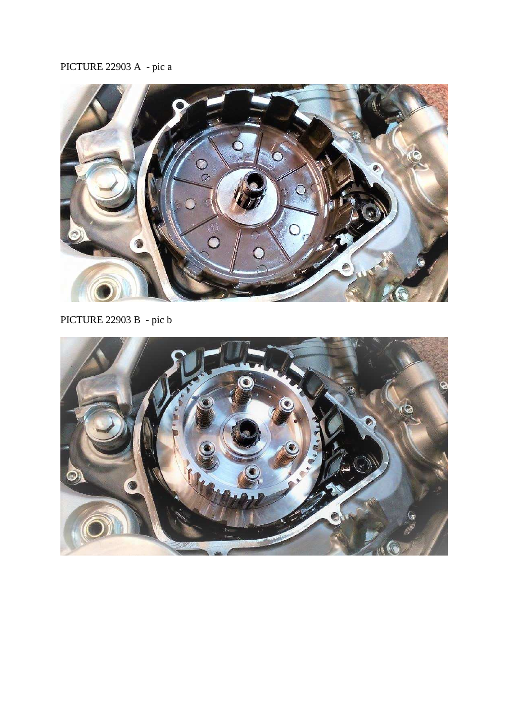# PICTURE 22903 A - pic a



PICTURE 22903 B - pic b

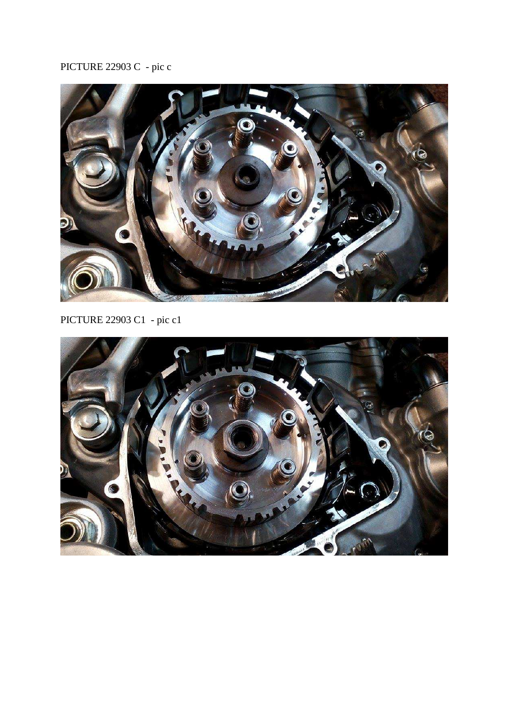# PICTURE 22903 C - pic c



PICTURE 22903 C1 - pic c1

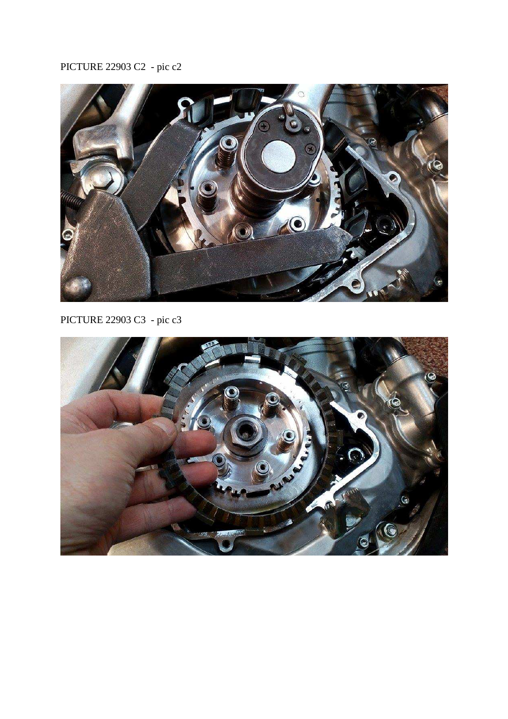# PICTURE 22903 C2 - pic c2



PICTURE 22903 C3 - pic c3

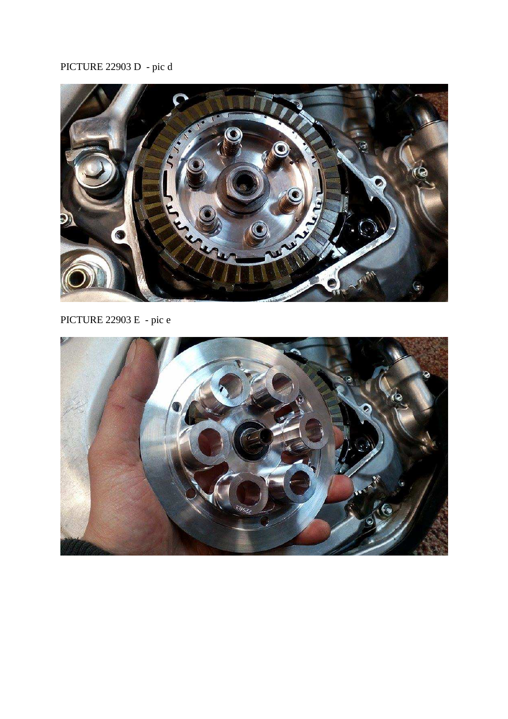### PICTURE 22903 D - pic d



# PICTURE 22903 E - pic e

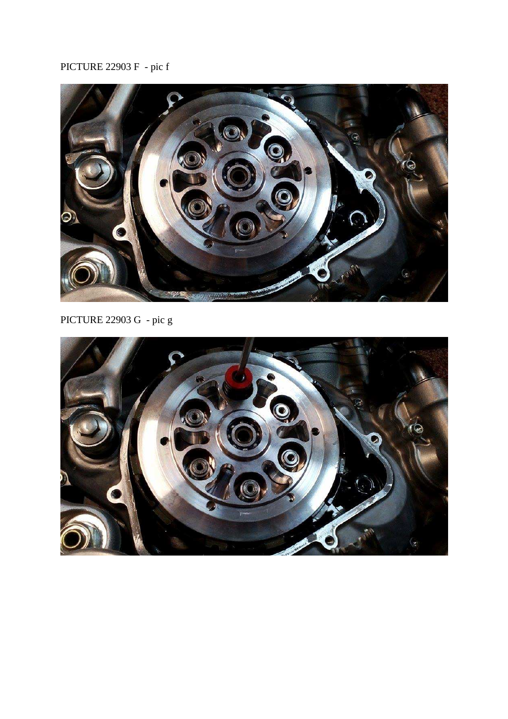### PICTURE 22903 F - pic f



PICTURE 22903 G - pic g